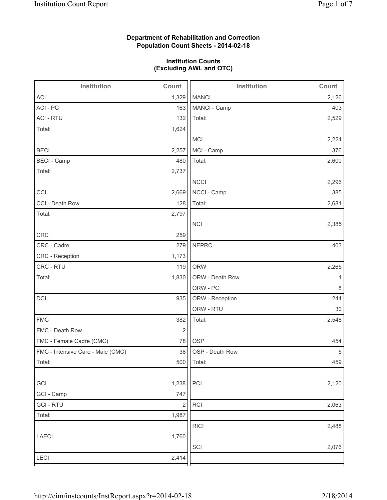# **Department of Rehabilitation and Correction Population Count Sheets - 2014-02-18**

### **Institution Counts (Excluding AWL and OTC)**

| Institution                       | Count       | Institution     | Count |
|-----------------------------------|-------------|-----------------|-------|
| <b>ACI</b>                        | 1,329       | <b>MANCI</b>    | 2,126 |
| ACI - PC                          | 163         | MANCI - Camp    | 403   |
| <b>ACI - RTU</b>                  | 132         | Total:          | 2,529 |
| Total:                            | 1,624       |                 |       |
|                                   |             | <b>MCI</b>      | 2,224 |
| <b>BECI</b>                       | 2,257       | MCI - Camp      | 376   |
| <b>BECI - Camp</b>                | 480         | Total:          | 2,600 |
| Total:                            | 2,737       |                 |       |
|                                   |             | <b>NCCI</b>     | 2,296 |
| CCI                               | 2,669       | NCCI - Camp     | 385   |
| CCI - Death Row                   | 128         | Total:          | 2,681 |
| Total:                            | 2,797       |                 |       |
|                                   |             | <b>NCI</b>      | 2,385 |
| <b>CRC</b>                        | 259         |                 |       |
| CRC - Cadre                       | 279         | <b>NEPRC</b>    | 403   |
| CRC - Reception                   | 1,173       |                 |       |
| CRC - RTU                         | 119         | <b>ORW</b>      | 2,265 |
| Total:                            | 1,830       | ORW - Death Row | 1     |
|                                   |             | ORW - PC        | 8     |
| DCI                               | 935         | ORW - Reception | 244   |
|                                   |             | ORW - RTU       | 30    |
| <b>FMC</b>                        | 382         | Total:          | 2,548 |
| FMC - Death Row                   | $\mathbf 2$ |                 |       |
| FMC - Female Cadre (CMC)          | 78          | <b>OSP</b>      | 454   |
| FMC - Intensive Care - Male (CMC) | 38          | OSP - Death Row | 5     |
| Total:                            | 500         | Total:          | 459   |
|                                   |             |                 |       |
| GCI                               | 1,238       | PCI             | 2,120 |
| GCI - Camp                        | 747         |                 |       |
| <b>GCI-RTU</b>                    | $\sqrt{2}$  | RCI             | 2,063 |
| Total:                            | 1,987       |                 |       |
|                                   |             | <b>RICI</b>     | 2,488 |
| LAECI                             | 1,760       |                 |       |
|                                   |             | SCI             | 2,076 |
| LECI                              | 2,414       |                 |       |
|                                   |             |                 |       |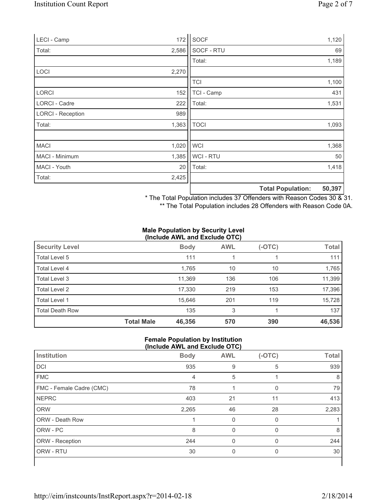| LECI - Camp              | 172   | SOCF        |                          | 1,120  |
|--------------------------|-------|-------------|--------------------------|--------|
| Total:                   | 2,586 | SOCF - RTU  |                          | 69     |
|                          |       | Total:      |                          | 1,189  |
| <b>LOCI</b>              | 2,270 |             |                          |        |
|                          |       | <b>TCI</b>  |                          | 1,100  |
| <b>LORCI</b>             | 152   | TCI - Camp  |                          | 431    |
| LORCI - Cadre            | 222   | Total:      |                          | 1,531  |
| <b>LORCI - Reception</b> | 989   |             |                          |        |
| Total:                   | 1,363 | <b>TOCI</b> |                          | 1,093  |
|                          |       |             |                          |        |
| <b>MACI</b>              | 1,020 | <b>WCI</b>  |                          | 1,368  |
| MACI - Minimum           | 1,385 | WCI - RTU   |                          | 50     |
| MACI - Youth             | 20    | Total:      |                          | 1,418  |
| Total:                   | 2,425 |             |                          |        |
|                          |       |             | <b>Total Population:</b> | 50,397 |

\* The Total Population includes 37 Offenders with Reason Codes 30 & 31.

\*\* The Total Population includes 28 Offenders with Reason Code 0A.

#### **Male Population by Security Level (Include AWL and Exclude OTC)**

| <b>Security Level</b>  |                   | <b>Body</b> | <b>AWL</b> | (-OTC) | <b>Total</b> |  |  |
|------------------------|-------------------|-------------|------------|--------|--------------|--|--|
| Total Level 5          |                   | 111         |            |        | 111          |  |  |
| Total Level 4          |                   | 1,765       | 10         | 10     | 1,765        |  |  |
| Total Level 3          |                   | 11,369      | 136        | 106    | 11,399       |  |  |
| Total Level 2          |                   | 17,330      | 219        | 153    | 17,396       |  |  |
| Total Level 1          |                   | 15,646      | 201        | 119    | 15,728       |  |  |
| <b>Total Death Row</b> |                   | 135         | 3          |        | 137          |  |  |
|                        | <b>Total Male</b> | 46,356      | 570        | 390    | 46,536       |  |  |

### **Female Population by Institution (Include AWL and Exclude OTC)**

| Institution              | <b>Body</b> | <b>AWL</b> | $(-OTC)$ | <b>Total</b> |
|--------------------------|-------------|------------|----------|--------------|
| DCI                      | 935         | 9          | 5        | 939          |
| <b>FMC</b>               | 4           | 5          |          | 8            |
| FMC - Female Cadre (CMC) | 78          |            | $\Omega$ | 79           |
| <b>NEPRC</b>             | 403         | 21         | 11       | 413          |
| <b>ORW</b>               | 2,265       | 46         | 28       | 2,283        |
| ORW - Death Row          |             | 0          | 0        |              |
| ORW - PC                 | 8           | $\Omega$   | $\Omega$ | 8            |
| ORW - Reception          | 244         |            |          | 244          |
| ORW - RTU                | 30          | 0          | $\Omega$ | 30           |
|                          |             |            |          |              |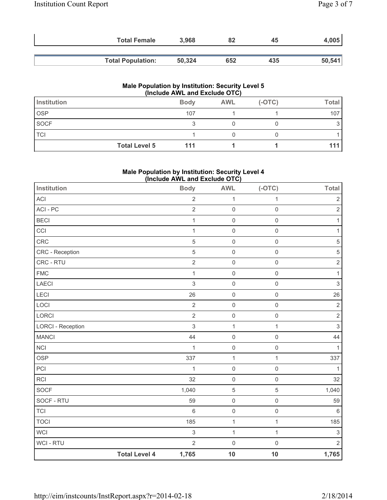| <b>Total Female</b>      | 3,968  | 82  | 45  | 4,005  |
|--------------------------|--------|-----|-----|--------|
|                          |        |     |     |        |
| <b>Total Population:</b> | 50,324 | 652 | 435 | 50,541 |

#### **Male Population by Institution: Security Level 5 (Include AWL and Exclude OTC)**

| Institution |                      | <b>Body</b> | <b>AWL</b> | $(-OTC)$ | Total |  |
|-------------|----------------------|-------------|------------|----------|-------|--|
| <b>OSP</b>  |                      | 107         |            |          | 107   |  |
| SOCF        |                      |             |            |          |       |  |
| <b>TCI</b>  |                      |             |            |          |       |  |
|             | <b>Total Level 5</b> | 111         |            |          |       |  |

## **Male Population by Institution: Security Level 4 (Include AWL and Exclude OTC)**

| Institution              |                      | $mo1u1u2u1u2u3u4u5u6u7$<br><b>Body</b> | <b>AWL</b>          | $(-OTC)$            | <b>Total</b>   |
|--------------------------|----------------------|----------------------------------------|---------------------|---------------------|----------------|
| ACI                      |                      | $\mathbf 2$                            | 1                   | $\mathbf{1}$        | $\mathbf 2$    |
| ACI - PC                 |                      | $\overline{2}$                         | $\mathsf{O}\xspace$ | $\mathbf 0$         | $\sqrt{2}$     |
| <b>BECI</b>              |                      | $\mathbf{1}$                           | $\mathsf{O}\xspace$ | $\mathsf{O}\xspace$ | 1              |
| CCI                      |                      | $\mathbf{1}$                           | $\mathsf{O}\xspace$ | $\mathsf{O}\xspace$ | 1              |
| CRC                      |                      | 5                                      | $\mathsf 0$         | $\mathsf{O}\xspace$ | $\sqrt{5}$     |
| CRC - Reception          |                      | 5                                      | $\mathsf{O}\xspace$ | $\mathsf{O}\xspace$ | $\sqrt{5}$     |
| CRC - RTU                |                      | $\overline{c}$                         | $\mathsf 0$         | $\mathsf{O}\xspace$ | $\overline{2}$ |
| <b>FMC</b>               |                      | $\mathbf{1}$                           | $\mathsf 0$         | $\mathsf{O}\xspace$ | $\mathbf{1}$   |
| <b>LAECI</b>             |                      | 3                                      | $\mathsf{O}\xspace$ | $\mathsf{O}\xspace$ | $\mathsf 3$    |
| <b>LECI</b>              |                      | 26                                     | $\mathsf 0$         | $\mathsf{O}\xspace$ | 26             |
| LOCI                     |                      | $\sqrt{2}$                             | $\mathsf{O}\xspace$ | $\mathsf 0$         | $\sqrt{2}$     |
| LORCI                    |                      | $\overline{2}$                         | $\mathsf{O}\xspace$ | $\mathsf{O}\xspace$ | $\mathbf 2$    |
| <b>LORCI - Reception</b> |                      | 3                                      | $\mathbf 1$         | $\mathbf{1}$        | $\mathsf 3$    |
| <b>MANCI</b>             |                      | 44                                     | $\mathsf{O}\xspace$ | $\mathsf{O}\xspace$ | 44             |
| <b>NCI</b>               |                      | $\mathbf{1}$                           | $\mathsf{O}\xspace$ | $\mathsf 0$         | 1              |
| <b>OSP</b>               |                      | 337                                    | $\mathbf 1$         | $\mathbf{1}$        | 337            |
| PCI                      |                      | $\mathbf{1}$                           | $\mathsf 0$         | $\mathsf 0$         | 1              |
| <b>RCI</b>               |                      | 32                                     | $\mathsf{O}\xspace$ | $\mathsf{O}\xspace$ | 32             |
| SOCF                     |                      | 1,040                                  | $\sqrt{5}$          | $\sqrt{5}$          | 1,040          |
| SOCF - RTU               |                      | 59                                     | $\mathsf{O}\xspace$ | $\mathsf 0$         | 59             |
| <b>TCI</b>               |                      | 6                                      | $\mathsf{O}\xspace$ | $\mathsf{O}\xspace$ | $6\,$          |
| <b>TOCI</b>              |                      | 185                                    | $\mathbf 1$         | $\mathbf{1}$        | 185            |
| <b>WCI</b>               |                      | 3                                      | $\mathbf 1$         | $\mathbf{1}$        | $\mathsf 3$    |
| <b>WCI - RTU</b>         |                      | $\overline{2}$                         | $\mathsf{O}\xspace$ | $\mathbf 0$         | $\overline{2}$ |
|                          | <b>Total Level 4</b> | 1,765                                  | 10                  | 10                  | 1,765          |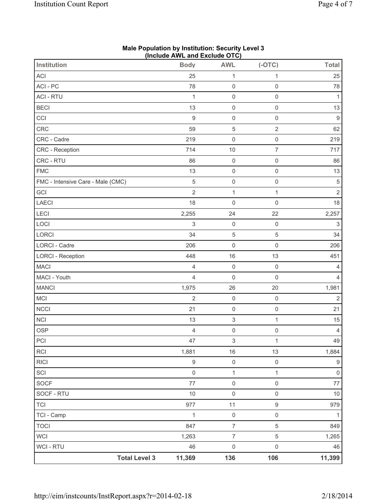|                                   | (include AWL and Exclude OTC) |                           |                     |                           |
|-----------------------------------|-------------------------------|---------------------------|---------------------|---------------------------|
| <b>Institution</b>                | <b>Body</b>                   | <b>AWL</b>                | $(-OTC)$            | <b>Total</b>              |
| ACI                               | 25                            | 1                         | 1                   | 25                        |
| ACI-PC                            | 78                            | $\mathbf 0$               | $\mathsf{O}\xspace$ | 78                        |
| <b>ACI - RTU</b>                  | $\mathbf{1}$                  | $\mathsf{O}\xspace$       | $\mathsf{O}\xspace$ | $\mathbf{1}$              |
| <b>BECI</b>                       | 13                            | $\mathsf 0$               | $\mathsf{O}\xspace$ | 13                        |
| CCI                               | $\hbox{9}$                    | $\mathsf 0$               | $\mathsf{O}\xspace$ | $\boldsymbol{9}$          |
| CRC                               | 59                            | $\sqrt{5}$                | $\overline{2}$      | 62                        |
| CRC - Cadre                       | 219                           | $\mathsf{O}\xspace$       | $\mathsf{O}\xspace$ | 219                       |
| CRC - Reception                   | 714                           | 10                        | $\overline{7}$      | 717                       |
| CRC - RTU                         | 86                            | $\mathsf 0$               | $\mathsf{O}\xspace$ | 86                        |
| <b>FMC</b>                        | 13                            | $\mathsf 0$               | $\mathsf{O}\xspace$ | 13                        |
| FMC - Intensive Care - Male (CMC) | $\sqrt{5}$                    | $\mathsf{O}\xspace$       | $\mathsf{O}\xspace$ | $\,$ 5 $\,$               |
| GCI                               | $\overline{2}$                | $\mathbf 1$               | $\mathbf{1}$        | $\overline{2}$            |
| <b>LAECI</b>                      | 18                            | $\mathsf{O}\xspace$       | $\mathsf{O}\xspace$ | 18                        |
| LECI                              | 2,255                         | 24                        | 22                  | 2,257                     |
| LOCI                              | $\mathsf 3$                   | $\mathsf 0$               | $\mathsf{O}\xspace$ | $\ensuremath{\mathsf{3}}$ |
| LORCI                             | 34                            | $\,$ 5 $\,$               | $\,$ 5 $\,$         | 34                        |
| LORCI - Cadre                     | 206                           | $\mathsf 0$               | $\mathsf{O}\xspace$ | 206                       |
| <b>LORCI - Reception</b>          | 448                           | 16                        | 13                  | 451                       |
| <b>MACI</b>                       | $\overline{4}$                | $\mathsf{O}\xspace$       | $\mathsf{O}\xspace$ | $\overline{4}$            |
| MACI - Youth                      | $\overline{4}$                | $\mathsf 0$               | $\mathsf{O}\xspace$ | $\overline{4}$            |
| <b>MANCI</b>                      | 1,975                         | 26                        | 20                  | 1,981                     |
| MCI                               | $\overline{2}$                | $\mathsf{O}\xspace$       | $\mathsf{O}\xspace$ | $\overline{2}$            |
| NCCI                              | 21                            | $\mathsf 0$               | $\mathsf{O}\xspace$ | 21                        |
| <b>NCI</b>                        | 13                            | $\ensuremath{\mathsf{3}}$ | $\mathbf{1}$        | 15                        |
| <b>OSP</b>                        | $\overline{4}$                | $\mathsf{O}\xspace$       | $\mathsf{O}\xspace$ | $\overline{4}$            |
| PCI                               | 47                            | 3                         | 1                   | 49                        |
| <b>RCI</b>                        | 1,881                         | 16                        | 13                  | 1,884                     |
| <b>RICI</b>                       | $\boldsymbol{9}$              | $\mathsf 0$               | $\mathsf{O}\xspace$ | $\boldsymbol{9}$          |
| SCI                               | $\mathsf{O}\xspace$           | $\mathbf{1}$              | $\mathbf{1}$        | $\mathsf{O}\xspace$       |
| SOCF                              | 77                            | $\mathsf{O}\xspace$       | $\mathsf{O}\xspace$ | 77                        |
| SOCF - RTU                        | $10$                          | $\mathsf{O}\xspace$       | $\mathsf{O}\xspace$ | $10$                      |
| <b>TCI</b>                        | 977                           | 11                        | $\boldsymbol{9}$    | 979                       |
| TCI - Camp                        | $\mathbf{1}$                  | $\mathsf{O}\xspace$       | $\mathsf{O}\xspace$ | $\mathbf{1}$              |
| <b>TOCI</b>                       | 847                           | $\overline{7}$            | 5                   | 849                       |
| <b>WCI</b>                        | 1,263                         | $\overline{7}$            | 5                   | 1,265                     |
| <b>WCI-RTU</b>                    | 46                            | $\mathsf 0$               | $\mathsf{O}\xspace$ | 46                        |
| <b>Total Level 3</b>              | 11,369                        | 136                       | 106                 | 11,399                    |

#### **Male Population by Institution: Security Level 3 (Include AWL and Exclude OTC)**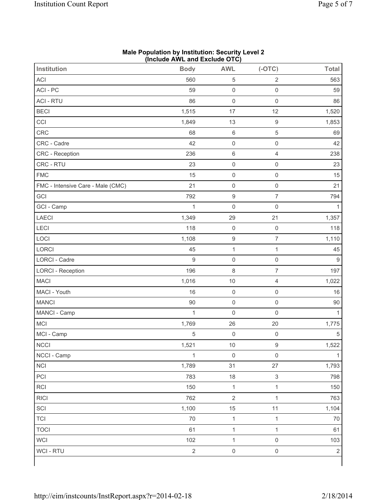| Institution                       | <b>Body</b>    | <b>AWL</b>          | $(-OTC)$                  | <b>Total</b>   |
|-----------------------------------|----------------|---------------------|---------------------------|----------------|
| <b>ACI</b>                        | 560            | 5                   | $\overline{2}$            | 563            |
| ACI-PC                            | 59             | $\mathsf{O}\xspace$ | $\mathsf 0$               | 59             |
| <b>ACI - RTU</b>                  | 86             | $\mathsf{O}\xspace$ | $\mathsf 0$               | 86             |
| <b>BECI</b>                       | 1,515          | 17                  | 12                        | 1,520          |
| CCI                               | 1,849          | 13                  | $\boldsymbol{9}$          | 1,853          |
| CRC                               | 68             | $\,6\,$             | 5                         | 69             |
| CRC - Cadre                       | 42             | $\mathsf{O}\xspace$ | $\mathsf 0$               | 42             |
| CRC - Reception                   | 236            | $\,6\,$             | $\overline{4}$            | 238            |
| CRC - RTU                         | 23             | $\mathsf{O}\xspace$ | $\mathbf 0$               | 23             |
| <b>FMC</b>                        | 15             | $\mathsf 0$         | $\mathsf 0$               | 15             |
| FMC - Intensive Care - Male (CMC) | 21             | $\mathsf 0$         | $\mathsf 0$               | 21             |
| GCI                               | 792            | $\boldsymbol{9}$    | $\overline{7}$            | 794            |
| GCI - Camp                        | $\mathbf{1}$   | $\mathsf{O}\xspace$ | $\mathbf 0$               | 1              |
| <b>LAECI</b>                      | 1,349          | 29                  | 21                        | 1,357          |
| LECI                              | 118            | $\mathsf 0$         | $\mathsf{O}\xspace$       | 118            |
| LOCI                              | 1,108          | $\boldsymbol{9}$    | $\overline{7}$            | 1,110          |
| LORCI                             | 45             | $\mathbf 1$         | $\mathbf{1}$              | 45             |
| LORCI - Cadre                     | 9              | $\mathsf 0$         | $\mathsf 0$               | $9\,$          |
| <b>LORCI - Reception</b>          | 196            | $\,8\,$             | $\overline{7}$            | 197            |
| <b>MACI</b>                       | 1,016          | 10                  | 4                         | 1,022          |
| MACI - Youth                      | 16             | $\mathsf{O}\xspace$ | $\mathsf 0$               | 16             |
| <b>MANCI</b>                      | 90             | $\mathsf{O}\xspace$ | $\mathsf{O}\xspace$       | 90             |
| MANCI - Camp                      | $\mathbf{1}$   | $\mathsf 0$         | $\mathbf 0$               | 1              |
| MCI                               | 1,769          | 26                  | 20                        | 1,775          |
| MCI - Camp                        | $\sqrt{5}$     | $\mathsf{O}\xspace$ | $\mathsf{O}\xspace$       | $\sqrt{5}$     |
| NCCI                              | 1,521          | $10$                | $\boldsymbol{9}$          | 1,522          |
| NCCI - Camp                       | $\mathbf{1}$   | $\mathsf 0$         | $\mathsf{O}\xspace$       | 1              |
| <b>NCI</b>                        | 1,789          | 31                  | 27                        | 1,793          |
| PCI                               | 783            | 18                  | $\ensuremath{\mathsf{3}}$ | 798            |
| RCI                               | 150            | $\mathbf{1}$        | $\mathbf{1}$              | 150            |
| <b>RICI</b>                       | 762            | $\sqrt{2}$          | $\mathbf{1}$              | 763            |
| SCI                               | 1,100          | 15                  | $11$                      | 1,104          |
| <b>TCI</b>                        | $70\,$         | $\mathbf{1}$        | $\mathbf{1}$              | 70             |
| <b>TOCI</b>                       | 61             | $\mathbf 1$         | $\mathbf{1}$              | 61             |
| <b>WCI</b>                        | 102            | $\mathbf{1}$        | $\mathsf{O}\xspace$       | 103            |
| WCI - RTU                         | $\overline{2}$ | $\mathsf{O}\xspace$ | $\mathsf{O}\xspace$       | $\overline{2}$ |

## **Male Population by Institution: Security Level 2 (Include AWL and Exclude OTC)**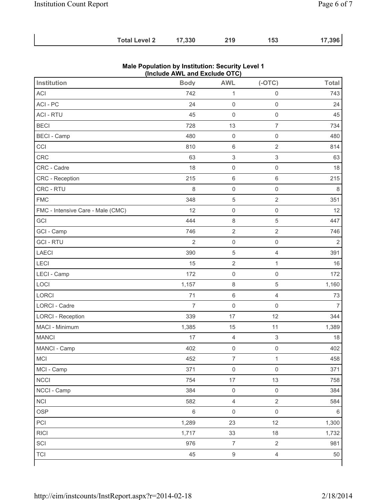| <b>Total Level 2</b> | 17,330 | 219 | 153 | 17,396 |
|----------------------|--------|-----|-----|--------|
|                      |        |     |     |        |

|                                   | $($ iliciuut Afficialiu Laciuut OTO $)$ |                           |                           |                |
|-----------------------------------|-----------------------------------------|---------------------------|---------------------------|----------------|
| <b>Institution</b>                | <b>Body</b>                             | <b>AWL</b>                | $(-OTC)$                  | <b>Total</b>   |
| <b>ACI</b>                        | 742                                     | $\mathbf{1}$              | $\mathsf{O}\xspace$       | 743            |
| ACI-PC                            | 24                                      | $\mathsf{O}\xspace$       | $\mathsf 0$               | 24             |
| <b>ACI - RTU</b>                  | 45                                      | $\mathsf{O}\xspace$       | $\mathbf 0$               | 45             |
| <b>BECI</b>                       | 728                                     | 13                        | $\overline{7}$            | 734            |
| <b>BECI</b> - Camp                | 480                                     | $\mathsf 0$               | $\mathsf{O}\xspace$       | 480            |
| CCI                               | 810                                     | $\,6\,$                   | $\sqrt{2}$                | 814            |
| CRC                               | 63                                      | $\ensuremath{\mathsf{3}}$ | $\ensuremath{\mathsf{3}}$ | 63             |
| CRC - Cadre                       | 18                                      | $\mathsf{O}\xspace$       | $\mathbf 0$               | 18             |
| CRC - Reception                   | 215                                     | $\,6\,$                   | $\,6\,$                   | 215            |
| CRC - RTU                         | 8                                       | $\mathsf{O}\xspace$       | $\mathsf 0$               | 8              |
| <b>FMC</b>                        | 348                                     | $\sqrt{5}$                | $\sqrt{2}$                | 351            |
| FMC - Intensive Care - Male (CMC) | 12                                      | $\mathsf{O}\xspace$       | $\mathsf{O}\xspace$       | 12             |
| GCI                               | 444                                     | $\,8\,$                   | $\overline{5}$            | 447            |
| GCI - Camp                        | 746                                     | $\sqrt{2}$                | $\sqrt{2}$                | 746            |
| <b>GCI-RTU</b>                    | $\overline{2}$                          | $\mathsf 0$               | $\mathsf{O}\xspace$       | $\overline{2}$ |
| LAECI                             | 390                                     | $\sqrt{5}$                | 4                         | 391            |
| LECI                              | 15                                      | $\sqrt{2}$                | $\mathbf{1}$              | 16             |
| LECI - Camp                       | 172                                     | $\mathsf 0$               | $\mathsf{O}\xspace$       | 172            |
| LOCI                              | 1,157                                   | $\,8\,$                   | 5                         | 1,160          |
| <b>LORCI</b>                      | 71                                      | $\,6\,$                   | $\overline{4}$            | 73             |
| LORCI - Cadre                     | $\overline{7}$                          | $\mathsf{O}\xspace$       | $\mathsf{O}\xspace$       | $\overline{7}$ |
| <b>LORCI - Reception</b>          | 339                                     | 17                        | 12                        | 344            |
| MACI - Minimum                    | 1,385                                   | 15                        | 11                        | 1,389          |
| <b>MANCI</b>                      | 17                                      | $\overline{4}$            | $\ensuremath{\mathsf{3}}$ | 18             |
| MANCI - Camp                      | 402                                     | $\mathsf{O}\xspace$       | $\mathsf{O}\xspace$       | 402            |
| <b>MCI</b>                        | 452                                     | $\overline{7}$            | $\mathbf{1}$              | 458            |
| MCI - Camp                        | 371                                     | $\mathsf{O}\xspace$       | $\mathsf{O}\xspace$       | 371            |
| <b>NCCI</b>                       | 754                                     | 17                        | 13                        | 758            |
| NCCI - Camp                       | 384                                     | $\mathsf{O}\xspace$       | $\mathsf{O}\xspace$       | 384            |
| <b>NCI</b>                        | 582                                     | $\overline{4}$            | $\overline{2}$            | 584            |
| <b>OSP</b>                        | $6\,$                                   | $\mathsf{O}\xspace$       | $\mathsf{O}\xspace$       | $\,6\,$        |
| PCI                               | 1,289                                   | 23                        | 12                        | 1,300          |
| <b>RICI</b>                       | 1,717                                   | 33                        | 18                        | 1,732          |
| SCI                               | 976                                     | $\boldsymbol{7}$          | $\overline{2}$            | 981            |
| <b>TCI</b>                        | 45                                      | $\boldsymbol{9}$          | $\overline{4}$            | 50             |

#### **Male Population by Institution: Security Level 1 (Include AWL and Exclude OTC)**